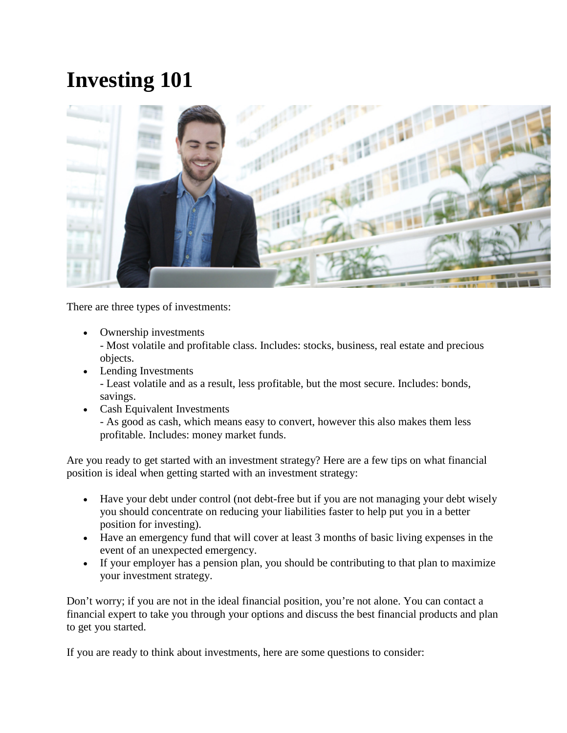## **Investing 101**



There are three types of investments:

- Ownership investments - Most volatile and profitable class. Includes: stocks, business, real estate and precious objects.
- Lending Investments - Least volatile and as a result, less profitable, but the most secure. Includes: bonds, savings.
- Cash Equivalent Investments - As good as cash, which means easy to convert, however this also makes them less profitable. Includes: money market funds.

Are you ready to get started with an investment strategy? Here are a few tips on what financial position is ideal when getting started with an investment strategy:

- Have your debt under control (not debt-free but if you are not managing your debt wisely you should concentrate on reducing your liabilities faster to help put you in a better position for investing).
- Have an emergency fund that will cover at least 3 months of basic living expenses in the event of an unexpected emergency.
- If your employer has a pension plan, you should be contributing to that plan to maximize your investment strategy.

Don't worry; if you are not in the ideal financial position, you're not alone. You can contact a financial expert to take you through your options and discuss the best financial products and plan to get you started.

If you are ready to think about investments, here are some questions to consider: